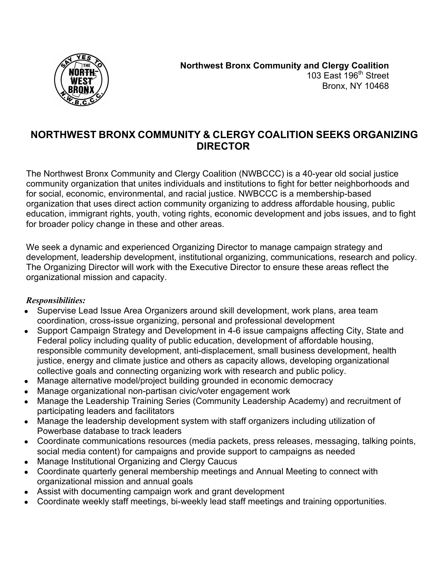

# **NORTHWEST BRONX COMMUNITY & CLERGY COALITION SEEKS ORGANIZING DIRECTOR**

The Northwest Bronx Community and Clergy Coalition (NWBCCC) is a 40-year old social justice community organization that unites individuals and institutions to fight for better neighborhoods and for social, economic, environmental, and racial justice. NWBCCC is a membership-based organization that uses direct action community organizing to address affordable housing, public education, immigrant rights, youth, voting rights, economic development and jobs issues, and to fight for broader policy change in these and other areas.

We seek a dynamic and experienced Organizing Director to manage campaign strategy and development, leadership development, institutional organizing, communications, research and policy. The Organizing Director will work with the Executive Director to ensure these areas reflect the organizational mission and capacity.

## *Responsibilities:*

- Supervise Lead Issue Area Organizers around skill development, work plans, area team coordination, cross-issue organizing, personal and professional development
- Support Campaign Strategy and Development in 4-6 issue campaigns affecting City, State and Federal policy including quality of public education, development of affordable housing, responsible community development, anti-displacement, small business development, health justice, energy and climate justice and others as capacity allows, developing organizational collective goals and connecting organizing work with research and public policy.
- Manage alternative model/project building grounded in economic democracy
- Manage organizational non-partisan civic/voter engagement work
- Manage the Leadership Training Series (Community Leadership Academy) and recruitment of participating leaders and facilitators
- Manage the leadership development system with staff organizers including utilization of Powerbase database to track leaders
- Coordinate communications resources (media packets, press releases, messaging, talking points, social media content) for campaigns and provide support to campaigns as needed
- Manage Institutional Organizing and Clergy Caucus
- Coordinate quarterly general membership meetings and Annual Meeting to connect with organizational mission and annual goals
- Assist with documenting campaign work and grant development
- Coordinate weekly staff meetings, bi-weekly lead staff meetings and training opportunities.